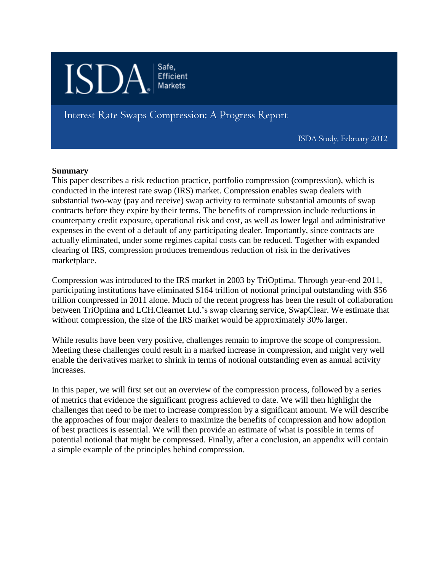

Interest Rate Swaps Compression: A Progress Report

ISDA Study, February 2012

# **Summary**

This paper describes a risk reduction practice, portfolio compression (compression), which is conducted in the interest rate swap (IRS) market. Compression enables swap dealers with substantial two-way (pay and receive) swap activity to terminate substantial amounts of swap contracts before they expire by their terms. The benefits of compression include reductions in counterparty credit exposure, operational risk and cost, as well as lower legal and administrative expenses in the event of a default of any participating dealer. Importantly, since contracts are actually eliminated, under some regimes capital costs can be reduced. Together with expanded clearing of IRS, compression produces tremendous reduction of risk in the derivatives marketplace.

Compression was introduced to the IRS market in 2003 by TriOptima. Through year-end 2011, participating institutions have eliminated \$164 trillion of notional principal outstanding with \$56 trillion compressed in 2011 alone. Much of the recent progress has been the result of collaboration between TriOptima and LCH.Clearnet Ltd.'s swap clearing service, SwapClear. We estimate that without compression, the size of the IRS market would be approximately 30% larger.

While results have been very positive, challenges remain to improve the scope of compression. Meeting these challenges could result in a marked increase in compression, and might very well enable the derivatives market to shrink in terms of notional outstanding even as annual activity increases.

In this paper, we will first set out an overview of the compression process, followed by a series of metrics that evidence the significant progress achieved to date. We will then highlight the challenges that need to be met to increase compression by a significant amount. We will describe the approaches of four major dealers to maximize the benefits of compression and how adoption of best practices is essential. We will then provide an estimate of what is possible in terms of potential notional that might be compressed. Finally, after a conclusion, an appendix will contain a simple example of the principles behind compression.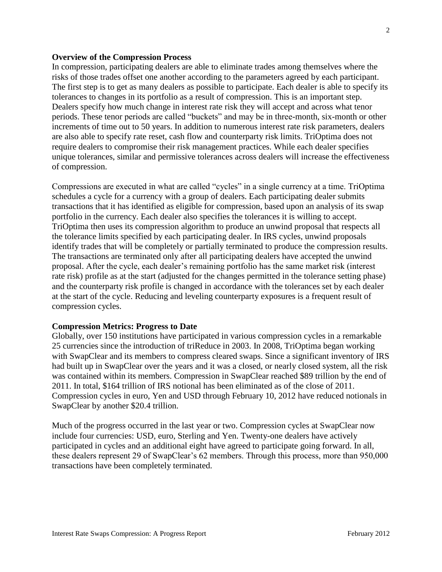### **Overview of the Compression Process**

In compression, participating dealers are able to eliminate trades among themselves where the risks of those trades offset one another according to the parameters agreed by each participant. The first step is to get as many dealers as possible to participate. Each dealer is able to specify its tolerances to changes in its portfolio as a result of compression. This is an important step. Dealers specify how much change in interest rate risk they will accept and across what tenor periods. These tenor periods are called "buckets" and may be in three-month, six-month or other increments of time out to 50 years. In addition to numerous interest rate risk parameters, dealers are also able to specify rate reset, cash flow and counterparty risk limits. TriOptima does not require dealers to compromise their risk management practices. While each dealer specifies unique tolerances, similar and permissive tolerances across dealers will increase the effectiveness of compression.

Compressions are executed in what are called "cycles" in a single currency at a time. TriOptima schedules a cycle for a currency with a group of dealers. Each participating dealer submits transactions that it has identified as eligible for compression, based upon an analysis of its swap portfolio in the currency. Each dealer also specifies the tolerances it is willing to accept. TriOptima then uses its compression algorithm to produce an unwind proposal that respects all the tolerance limits specified by each participating dealer. In IRS cycles, unwind proposals identify trades that will be completely or partially terminated to produce the compression results. The transactions are terminated only after all participating dealers have accepted the unwind proposal. After the cycle, each dealer's remaining portfolio has the same market risk (interest rate risk) profile as at the start (adjusted for the changes permitted in the tolerance setting phase) and the counterparty risk profile is changed in accordance with the tolerances set by each dealer at the start of the cycle. Reducing and leveling counterparty exposures is a frequent result of compression cycles.

## **Compression Metrics: Progress to Date**

Globally, over 150 institutions have participated in various compression cycles in a remarkable 25 currencies since the introduction of triReduce in 2003. In 2008, TriOptima began working with SwapClear and its members to compress cleared swaps. Since a significant inventory of IRS had built up in SwapClear over the years and it was a closed, or nearly closed system, all the risk was contained within its members. Compression in SwapClear reached \$89 trillion by the end of 2011. In total, \$164 trillion of IRS notional has been eliminated as of the close of 2011. Compression cycles in euro, Yen and USD through February 10, 2012 have reduced notionals in SwapClear by another \$20.4 trillion.

Much of the progress occurred in the last year or two. Compression cycles at SwapClear now include four currencies: USD, euro, Sterling and Yen. Twenty-one dealers have actively participated in cycles and an additional eight have agreed to participate going forward. In all, these dealers represent 29 of SwapClear's 62 members. Through this process, more than 950,000 transactions have been completely terminated.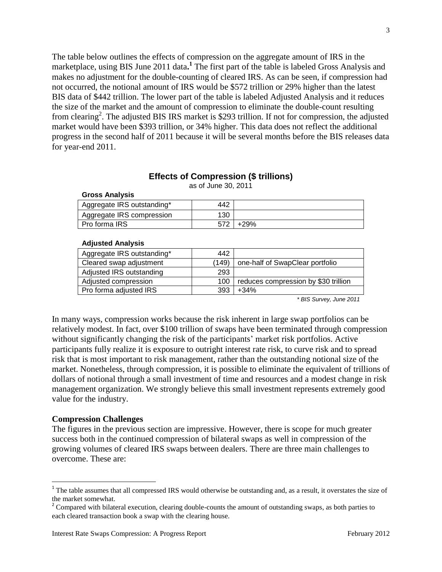The table below outlines the effects of compression on the aggregate amount of IRS in the marketplace, using BIS June 2011 data.<sup>1</sup> The first part of the table is labeled Gross Analysis and makes no adjustment for the double-counting of cleared IRS. As can be seen, if compression had not occurred, the notional amount of IRS would be \$572 trillion or 29% higher than the latest BIS data of \$442 trillion. The lower part of the table is labeled Adjusted Analysis and it reduces the size of the market and the amount of compression to eliminate the double-count resulting from clearing<sup>2</sup>. The adjusted BIS IRS market is \$293 trillion. If not for compression, the adjusted market would have been \$393 trillion, or 34% higher. This data does not reflect the additional progress in the second half of 2011 because it will be several months before the BIS releases data for year-end 2011.

# **Effects of Compression (\$ trillions)**

as of June 30, 2011

### **Gross Analysis**

| Aggregate IRS outstanding* | 442 |      |
|----------------------------|-----|------|
| Aggregate IRS compression  | 130 |      |
| Pro forma IRS              |     | +29% |
|                            |     |      |

### **Adjusted Analysis**

| Aggregate IRS outstanding* | 442   |                                      |
|----------------------------|-------|--------------------------------------|
| Cleared swap adjustment    | (149) | one-half of SwapClear portfolio      |
| Adjusted IRS outstanding   | 293   |                                      |
| Adjusted compression       | 100   | reduces compression by \$30 trillion |
| Pro forma adjusted IRS     | 393   | $+34%$                               |

*\* BIS Survey, June 2011*

In many ways, compression works because the risk inherent in large swap portfolios can be relatively modest. In fact, over \$100 trillion of swaps have been terminated through compression without significantly changing the risk of the participants' market risk portfolios. Active participants fully realize it is exposure to outright interest rate risk, to curve risk and to spread risk that is most important to risk management, rather than the outstanding notional size of the market. Nonetheless, through compression, it is possible to eliminate the equivalent of trillions of dollars of notional through a small investment of time and resources and a modest change in risk management organization. We strongly believe this small investment represents extremely good value for the industry.

## **Compression Challenges**

 $\overline{\phantom{a}}$ 

The figures in the previous section are impressive. However, there is scope for much greater success both in the continued compression of bilateral swaps as well in compression of the growing volumes of cleared IRS swaps between dealers. There are three main challenges to overcome. These are:

<sup>&</sup>lt;sup>1</sup> The table assumes that all compressed IRS would otherwise be outstanding and, as a result, it overstates the size of the market somewhat.

 $2^2$  Compared with bilateral execution, clearing double-counts the amount of outstanding swaps, as both parties to each cleared transaction book a swap with the clearing house.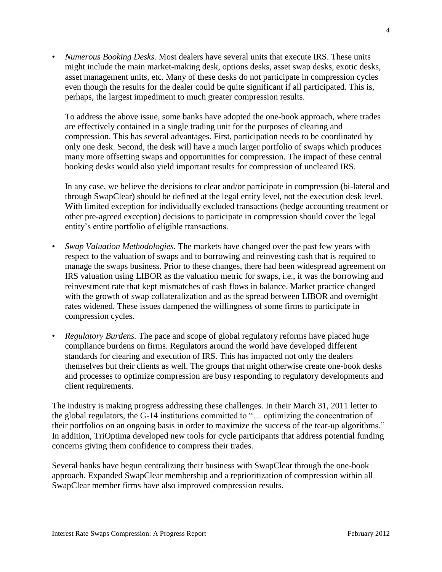• *Numerous Booking Desks.* Most dealers have several units that execute IRS. These units might include the main market-making desk, options desks, asset swap desks, exotic desks, asset management units, etc. Many of these desks do not participate in compression cycles even though the results for the dealer could be quite significant if all participated. This is, perhaps, the largest impediment to much greater compression results.

To address the above issue, some banks have adopted the one-book approach, where trades are effectively contained in a single trading unit for the purposes of clearing and compression. This has several advantages. First, participation needs to be coordinated by only one desk. Second, the desk will have a much larger portfolio of swaps which produces many more offsetting swaps and opportunities for compression. The impact of these central booking desks would also yield important results for compression of uncleared IRS.

In any case, we believe the decisions to clear and/or participate in compression (bi-lateral and through SwapClear) should be defined at the legal entity level, not the execution desk level. With limited exception for individually excluded transactions (hedge accounting treatment or other pre-agreed exception) decisions to participate in compression should cover the legal entity's entire portfolio of eligible transactions.

- *Swap Valuation Methodologies.* The markets have changed over the past few years with respect to the valuation of swaps and to borrowing and reinvesting cash that is required to manage the swaps business. Prior to these changes, there had been widespread agreement on IRS valuation using LIBOR as the valuation metric for swaps, i.e., it was the borrowing and reinvestment rate that kept mismatches of cash flows in balance. Market practice changed with the growth of swap collateralization and as the spread between LIBOR and overnight rates widened. These issues dampened the willingness of some firms to participate in compression cycles.
- *Regulatory Burdens.* The pace and scope of global regulatory reforms have placed huge compliance burdens on firms. Regulators around the world have developed different standards for clearing and execution of IRS. This has impacted not only the dealers themselves but their clients as well. The groups that might otherwise create one-book desks and processes to optimize compression are busy responding to regulatory developments and client requirements.

The industry is making progress addressing these challenges. In their March 31, 2011 letter to the global regulators, the G-14 institutions committed to "… optimizing the concentration of their portfolios on an ongoing basis in order to maximize the success of the tear-up algorithms." In addition, TriOptima developed new tools for cycle participants that address potential funding concerns giving them confidence to compress their trades.

Several banks have begun centralizing their business with SwapClear through the one-book approach. Expanded SwapClear membership and a reprioritization of compression within all SwapClear member firms have also improved compression results.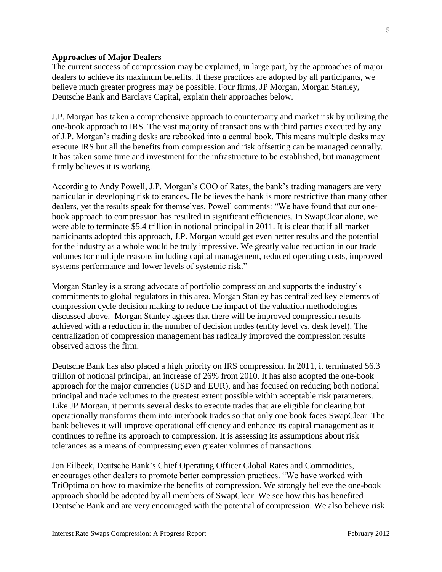### **Approaches of Major Dealers**

The current success of compression may be explained, in large part, by the approaches of major dealers to achieve its maximum benefits. If these practices are adopted by all participants, we believe much greater progress may be possible. Four firms, JP Morgan, Morgan Stanley, Deutsche Bank and Barclays Capital, explain their approaches below.

J.P. Morgan has taken a comprehensive approach to counterparty and market risk by utilizing the one-book approach to IRS. The vast majority of transactions with third parties executed by any of J.P. Morgan's trading desks are rebooked into a central book. This means multiple desks may execute IRS but all the benefits from compression and risk offsetting can be managed centrally. It has taken some time and investment for the infrastructure to be established, but management firmly believes it is working.

According to Andy Powell, J.P. Morgan's COO of Rates, the bank's trading managers are very particular in developing risk tolerances. He believes the bank is more restrictive than many other dealers, yet the results speak for themselves. Powell comments: "We have found that our onebook approach to compression has resulted in significant efficiencies. In SwapClear alone, we were able to terminate \$5.4 trillion in notional principal in 2011. It is clear that if all market participants adopted this approach, J.P. Morgan would get even better results and the potential for the industry as a whole would be truly impressive. We greatly value reduction in our trade volumes for multiple reasons including capital management, reduced operating costs, improved systems performance and lower levels of systemic risk."

Morgan Stanley is a strong advocate of portfolio compression and supports the industry's commitments to global regulators in this area. Morgan Stanley has centralized key elements of compression cycle decision making to reduce the impact of the valuation methodologies discussed above. Morgan Stanley agrees that there will be improved compression results achieved with a reduction in the number of decision nodes (entity level vs. desk level). The centralization of compression management has radically improved the compression results observed across the firm.

Deutsche Bank has also placed a high priority on IRS compression. In 2011, it terminated \$6.3 trillion of notional principal, an increase of 26% from 2010. It has also adopted the one-book approach for the major currencies (USD and EUR), and has focused on reducing both notional principal and trade volumes to the greatest extent possible within acceptable risk parameters. Like JP Morgan, it permits several desks to execute trades that are eligible for clearing but operationally transforms them into interbook trades so that only one book faces SwapClear. The bank believes it will improve operational efficiency and enhance its capital management as it continues to refine its approach to compression. It is assessing its assumptions about risk tolerances as a means of compressing even greater volumes of transactions.

Jon Eilbeck, Deutsche Bank's Chief Operating Officer Global Rates and Commodities, encourages other dealers to promote better compression practices. "We have worked with TriOptima on how to maximize the benefits of compression. We strongly believe the one-book approach should be adopted by all members of SwapClear. We see how this has benefited Deutsche Bank and are very encouraged with the potential of compression. We also believe risk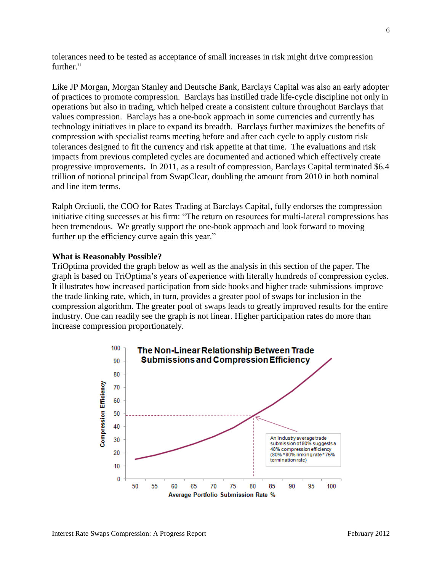tolerances need to be tested as acceptance of small increases in risk might drive compression further."

Like JP Morgan, Morgan Stanley and Deutsche Bank, Barclays Capital was also an early adopter of practices to promote compression. Barclays has instilled trade life-cycle discipline not only in operations but also in trading, which helped create a consistent culture throughout Barclays that values compression. Barclays has a one-book approach in some currencies and currently has technology initiatives in place to expand its breadth. Barclays further maximizes the benefits of compression with specialist teams meeting before and after each cycle to apply custom risk tolerances designed to fit the currency and risk appetite at that time. The evaluations and risk impacts from previous completed cycles are documented and actioned which effectively create progressive improvements**.** In 2011, as a result of compression, Barclays Capital terminated \$6.4 trillion of notional principal from SwapClear, doubling the amount from 2010 in both nominal and line item terms.

Ralph Orciuoli, the COO for Rates Trading at Barclays Capital, fully endorses the compression initiative citing successes at his firm: "The return on resources for multi-lateral compressions has been tremendous. We greatly support the one-book approach and look forward to moving further up the efficiency curve again this year."

### **What is Reasonably Possible?**

TriOptima provided the graph below as well as the analysis in this section of the paper. The graph is based on TriOptima's years of experience with literally hundreds of compression cycles. It illustrates how increased participation from side books and higher trade submissions improve the trade linking rate, which, in turn, provides a greater pool of swaps for inclusion in the compression algorithm. The greater pool of swaps leads to greatly improved results for the entire industry. One can readily see the graph is not linear. Higher participation rates do more than increase compression proportionately.

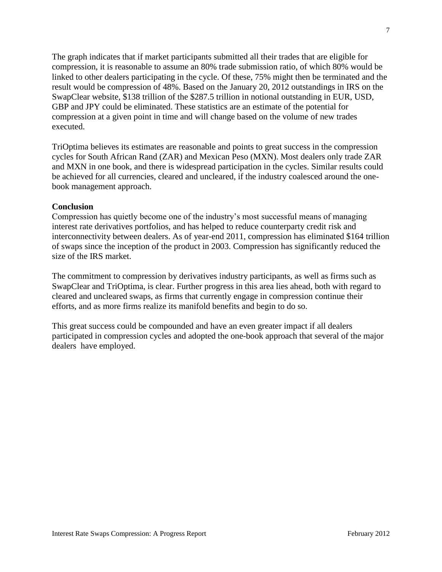The graph indicates that if market participants submitted all their trades that are eligible for compression, it is reasonable to assume an 80% trade submission ratio, of which 80% would be linked to other dealers participating in the cycle. Of these, 75% might then be terminated and the result would be compression of 48%. Based on the January 20, 2012 outstandings in IRS on the SwapClear website, \$138 trillion of the \$287.5 trillion in notional outstanding in EUR, USD, GBP and JPY could be eliminated. These statistics are an estimate of the potential for compression at a given point in time and will change based on the volume of new trades executed.

TriOptima believes its estimates are reasonable and points to great success in the compression cycles for South African Rand (ZAR) and Mexican Peso (MXN). Most dealers only trade ZAR and MXN in one book, and there is widespread participation in the cycles. Similar results could be achieved for all currencies, cleared and uncleared, if the industry coalesced around the onebook management approach.

# **Conclusion**

Compression has quietly become one of the industry's most successful means of managing interest rate derivatives portfolios, and has helped to reduce counterparty credit risk and interconnectivity between dealers. As of year-end 2011, compression has eliminated \$164 trillion of swaps since the inception of the product in 2003. Compression has significantly reduced the size of the IRS market.

The commitment to compression by derivatives industry participants, as well as firms such as SwapClear and TriOptima, is clear. Further progress in this area lies ahead, both with regard to cleared and uncleared swaps, as firms that currently engage in compression continue their efforts, and as more firms realize its manifold benefits and begin to do so.

This great success could be compounded and have an even greater impact if all dealers participated in compression cycles and adopted the one-book approach that several of the major dealers have employed.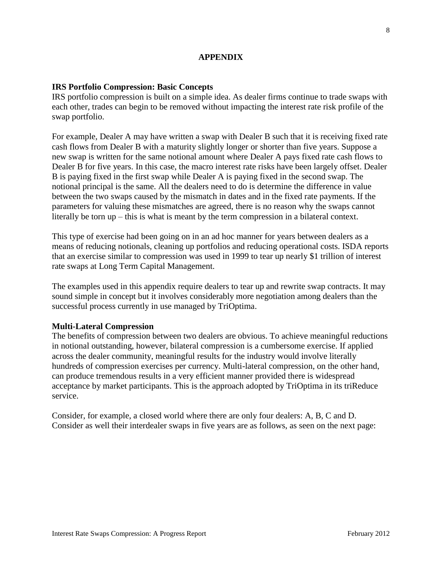# **APPENDIX**

## **IRS Portfolio Compression: Basic Concepts**

IRS portfolio compression is built on a simple idea. As dealer firms continue to trade swaps with each other, trades can begin to be removed without impacting the interest rate risk profile of the swap portfolio.

For example, Dealer A may have written a swap with Dealer B such that it is receiving fixed rate cash flows from Dealer B with a maturity slightly longer or shorter than five years. Suppose a new swap is written for the same notional amount where Dealer A pays fixed rate cash flows to Dealer B for five years. In this case, the macro interest rate risks have been largely offset. Dealer B is paying fixed in the first swap while Dealer A is paying fixed in the second swap. The notional principal is the same. All the dealers need to do is determine the difference in value between the two swaps caused by the mismatch in dates and in the fixed rate payments. If the parameters for valuing these mismatches are agreed, there is no reason why the swaps cannot literally be torn up – this is what is meant by the term compression in a bilateral context.

This type of exercise had been going on in an ad hoc manner for years between dealers as a means of reducing notionals, cleaning up portfolios and reducing operational costs. ISDA reports that an exercise similar to compression was used in 1999 to tear up nearly \$1 trillion of interest rate swaps at Long Term Capital Management.

The examples used in this appendix require dealers to tear up and rewrite swap contracts. It may sound simple in concept but it involves considerably more negotiation among dealers than the successful process currently in use managed by TriOptima.

## **Multi-Lateral Compression**

The benefits of compression between two dealers are obvious. To achieve meaningful reductions in notional outstanding, however, bilateral compression is a cumbersome exercise. If applied across the dealer community, meaningful results for the industry would involve literally hundreds of compression exercises per currency. Multi-lateral compression, on the other hand, can produce tremendous results in a very efficient manner provided there is widespread acceptance by market participants. This is the approach adopted by TriOptima in its triReduce service.

Consider, for example, a closed world where there are only four dealers: A, B, C and D. Consider as well their interdealer swaps in five years are as follows, as seen on the next page: